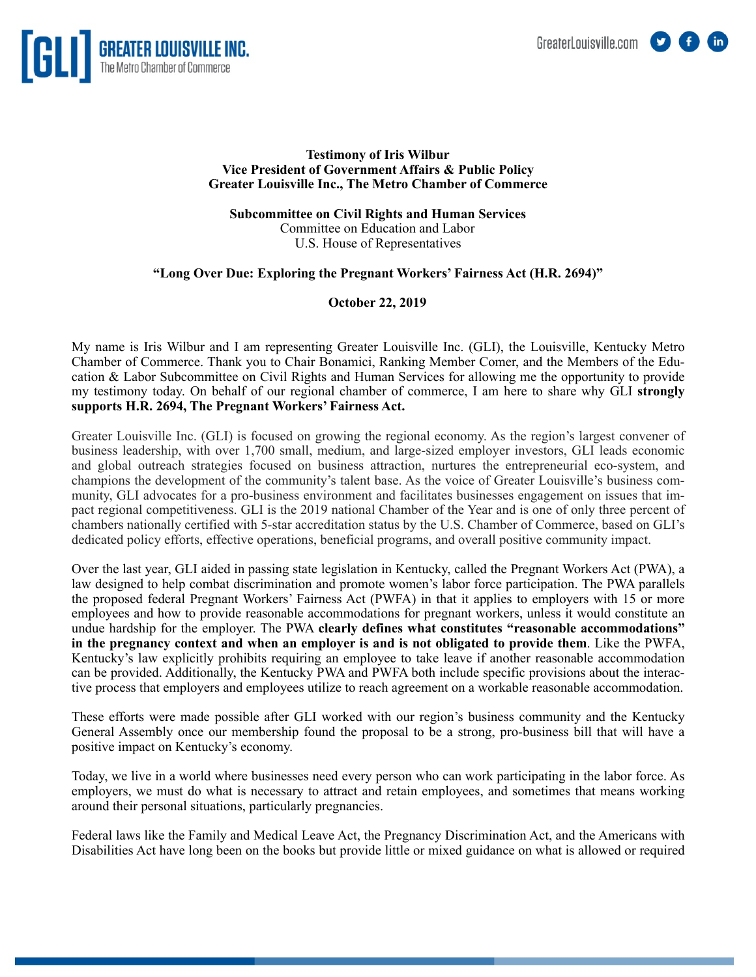



## **Testimony of Iris Wilbur Vice President of Government Affairs & Public Policy Greater Louisville Inc., The Metro Chamber of Commerce**

**Subcommittee on Civil Rights and Human Services**  Committee on Education and Labor U.S. House of Representatives

## **"Long Over Due: Exploring the Pregnant Workers' Fairness Act (H.R. 2694)"**

## **October 22, 2019**

My name is Iris Wilbur and I am representing Greater Louisville Inc. (GLI), the Louisville, Kentucky Metro Chamber of Commerce. Thank you to Chair Bonamici, Ranking Member Comer, and the Members of the Education & Labor Subcommittee on Civil Rights and Human Services for allowing me the opportunity to provide my testimony today. On behalf of our regional chamber of commerce, I am here to share why GLI **strongly supports H.R. 2694, The Pregnant Workers' Fairness Act.**

Greater Louisville Inc. (GLI) is focused on growing the regional economy. As the region's largest convener of business leadership, with over 1,700 small, medium, and large-sized employer investors, GLI leads economic and global outreach strategies focused on business attraction, nurtures the entrepreneurial eco-system, and champions the development of the community's talent base. As the voice of Greater Louisville's business community, GLI advocates for a pro-business environment and facilitates businesses engagement on issues that impact regional competitiveness. GLI is the 2019 national Chamber of the Year and is one of only three percent of chambers nationally certified with 5-star accreditation status by the U.S. Chamber of Commerce, based on GLI's dedicated policy efforts, effective operations, beneficial programs, and overall positive community impact.

Over the last year, GLI aided in passing state legislation in Kentucky, called the Pregnant Workers Act (PWA), a law designed to help combat discrimination and promote women's labor force participation. The PWA parallels the proposed federal Pregnant Workers' Fairness Act (PWFA) in that it applies to employers with 15 or more employees and how to provide reasonable accommodations for pregnant workers, unless it would constitute an undue hardship for the employer. The PWA **clearly defines what constitutes "reasonable accommodations" in the pregnancy context and when an employer is and is not obligated to provide them**. Like the PWFA, Kentucky's law explicitly prohibits requiring an employee to take leave if another reasonable accommodation can be provided. Additionally, the Kentucky PWA and PWFA both include specific provisions about the interactive process that employers and employees utilize to reach agreement on a workable reasonable accommodation.

These efforts were made possible after GLI worked with our region's business community and the Kentucky General Assembly once our membership found the proposal to be a strong, pro-business bill that will have a positive impact on Kentucky's economy.

Today, we live in a world where businesses need every person who can work participating in the labor force. As employers, we must do what is necessary to attract and retain employees, and sometimes that means working around their personal situations, particularly pregnancies.

Federal laws like the Family and Medical Leave Act, the Pregnancy Discrimination Act, and the Americans with Disabilities Act have long been on the books but provide little or mixed guidance on what is allowed or required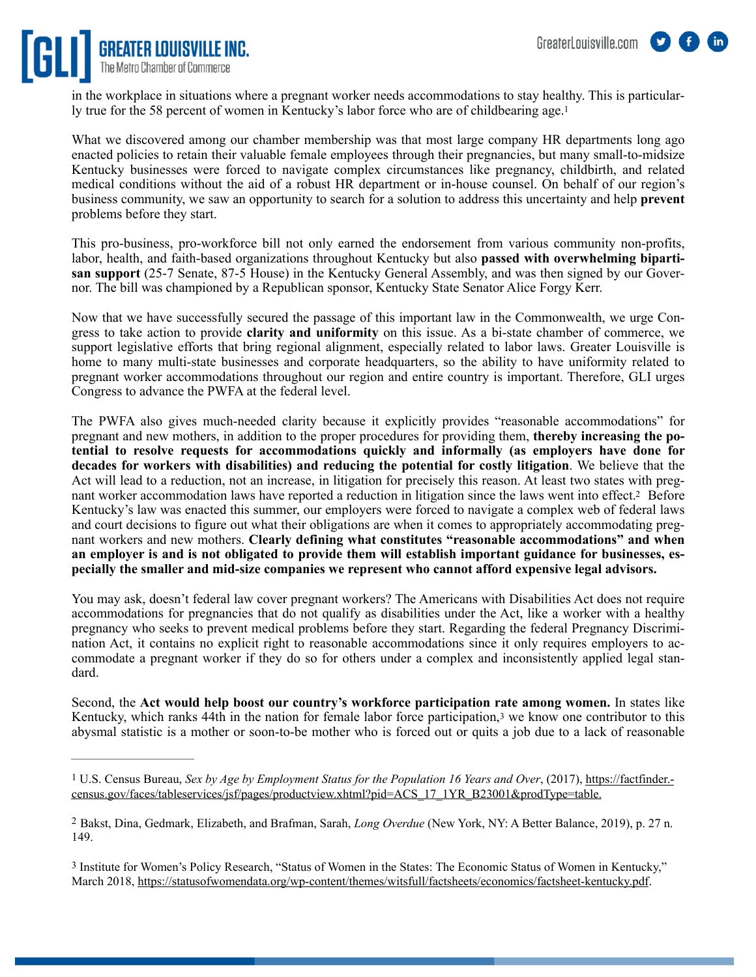

<span id="page-1-3"></span>in the workplace in situations where a pregnant worker needs accommodations to stay healthy. This is particularly true for the 58 percent of women in Kentucky's labor force who are of childbearing age[.1](#page-1-0)

What we discovered among our chamber membership was that most large company HR departments long ago enacted policies to retain their valuable female employees through their pregnancies, but many small-to-midsize Kentucky businesses were forced to navigate complex circumstances like pregnancy, childbirth, and related medical conditions without the aid of a robust HR department or in-house counsel. On behalf of our region's business community, we saw an opportunity to search for a solution to address this uncertainty and help **prevent** problems before they start.

This pro-business, pro-workforce bill not only earned the endorsement from various community non-profits, labor, health, and faith-based organizations throughout Kentucky but also **passed with overwhelming bipartisan support** (25-7 Senate, 87-5 House) in the Kentucky General Assembly, and was then signed by our Governor. The bill was championed by a Republican sponsor, Kentucky State Senator Alice Forgy Kerr.

Now that we have successfully secured the passage of this important law in the Commonwealth, we urge Congress to take action to provide **clarity and uniformity** on this issue. As a bi-state chamber of commerce, we support legislative efforts that bring regional alignment, especially related to labor laws. Greater Louisville is home to many multi-state businesses and corporate headquarters, so the ability to have uniformity related to pregnant worker accommodations throughout our region and entire country is important. Therefore, GLI urges Congress to advance the PWFA at the federal level.

<span id="page-1-4"></span>The PWFA also gives much-needed clarity because it explicitly provides "reasonable accommodations" for pregnant and new mothers, in addition to the proper procedures for providing them, **thereby increasing the potential to resolve requests for accommodations quickly and informally (as employers have done for decades for workers with disabilities) and reducing the potential for costly litigation**. We believe that the Act will lead to a reduction, not an increase, in litigation for precisely this reason. At least two states with preg-nant worker accommodation laws have reported a reduction in litigation since the laws went into effect[.](#page-1-1)<sup>[2](#page-1-1)</sup> Before Kentucky's law was enacted this summer, our employers were forced to navigate a complex web of federal laws and court decisions to figure out what their obligations are when it comes to appropriately accommodating pregnant workers and new mothers. **Clearly defining what constitutes "reasonable accommodations" and when an employer is and is not obligated to provide them will establish important guidance for businesses, especially the smaller and mid-size companies we represent who cannot afford expensive legal advisors.**

You may ask, doesn't federal law cover pregnant workers? The Americans with Disabilities Act does not require accommodations for pregnancies that do not qualify as disabilities under the Act, like a worker with a healthy pregnancy who seeks to prevent medical problems before they start. Regarding the federal Pregnancy Discrimination Act, it contains no explicit right to reasonable accommodations since it only requires employers to accommodate a pregnant worker if they do so for others under a complex and inconsistently applied legal standard.

<span id="page-1-5"></span>Second, the **Act would help boost our country's workforce participation rate among women.** In states like Kentucky, which ranks 44th in the nation for female labor force participation,<sup>[3](#page-1-2)</sup> we know one contributor to this abysmal statistic is a mother or soon-to-be mother who is forced out or quits a job due to a lack of reasonable

<span id="page-1-0"></span>[<sup>1</sup>](#page-1-3) U.S. Census Bureau, *Sex by Age by Employment Status for the Population 16 Years and Over*, (2017), [https://factfinder.](https://factfinder.census.gov/faces/tableservices/jsf/pages/productview.xhtml?pid=ACS_17_1YR_B23001&prodType=table) [census.gov/faces/tableservices/jsf/pages/productview.xhtml?pid=ACS\\_17\\_1YR\\_B23001&prodType=table](https://factfinder.census.gov/faces/tableservices/jsf/pages/productview.xhtml?pid=ACS_17_1YR_B23001&prodType=table).

<span id="page-1-1"></span><sup>&</sup>lt;sup>[2](#page-1-4)</sup> Bakst, Dina, Gedmark, Elizabeth, and Brafman, Sarah, *Long Overdue* (New York, NY: A Better Balance, 2019), p. 27 n. 149.

<span id="page-1-2"></span>[<sup>3</sup>](#page-1-5) Institute for Women's Policy Research, "Status of Women in the States: The Economic Status of Women in Kentucky," March 2018,<https://statusofwomendata.org/wp-content/themes/witsfull/factsheets/economics/factsheet-kentucky.pdf>.